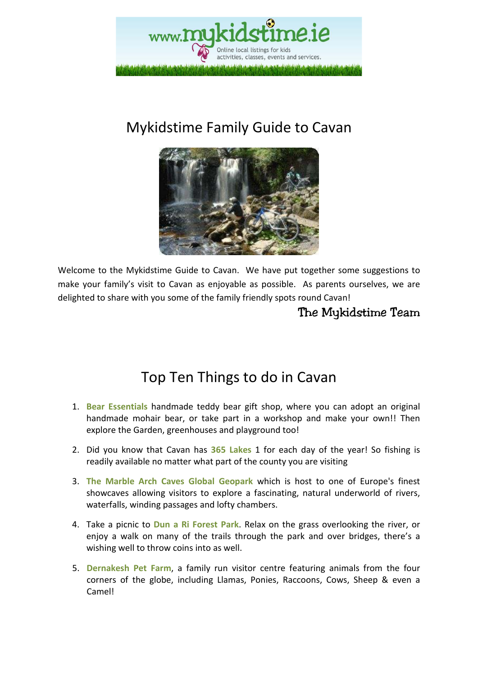

## Mykidstime Family Guide to Cavan



Welcome to the Mykidstime Guide to Cavan. We have put together some suggestions to make your family's visit to Cavan as enjoyable as possible. As parents ourselves, we are delighted to share with you some of the family friendly spots round Cavan!

### The Mykidstime Team

### Top Ten Things to do in Cavan

- 1. **Bear Essentials** handmade teddy bear gift shop, where you can adopt an original handmade mohair bear, or take part in a workshop and make your own!! Then explore the Garden, greenhouses and playground too!
- 2. Did you know that Cavan has **365 Lakes** 1 for each day of the year! So fishing is readily available no matter what part of the county you are visiting
- 3. **The Marble Arch Caves Global Geopark** which is host to one of Europe's finest showcaves allowing visitors to explore a fascinating, natural underworld of rivers, waterfalls, winding passages and lofty chambers.
- 4. Take a picnic to **Dun a Ri Forest Park**. Relax on the grass overlooking the river, or enjoy a walk on many of the trails through the park and over bridges, there's a wishing well to throw coins into as well.
- 5. **Dernakesh Pet Farm**, a family run visitor centre featuring animals from the four corners of the globe, including Llamas, Ponies, Raccoons, Cows, Sheep & even a Camel!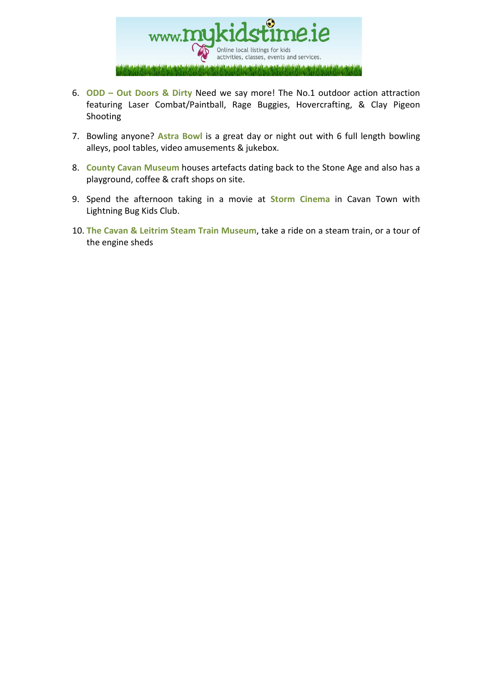

- 6. **ODD Out Doors & Dirty** Need we say more! The No.1 outdoor action attraction featuring Laser Combat/Paintball, Rage Buggies, Hovercrafting, & Clay Pigeon Shooting
- 7. Bowling anyone? **Astra Bowl** is a great day or night out with 6 full length bowling alleys, pool tables, video amusements & jukebox.
- 8. **County Cavan Museum** houses artefacts dating back to the Stone Age and also has a playground, coffee & craft shops on site.
- 9. Spend the afternoon taking in a movie at **Storm Cinema** in Cavan Town with Lightning Bug Kids Club.
- 10. **The Cavan & Leitrim Steam Train Museum**, take a ride on a steam train, or a tour of the engine sheds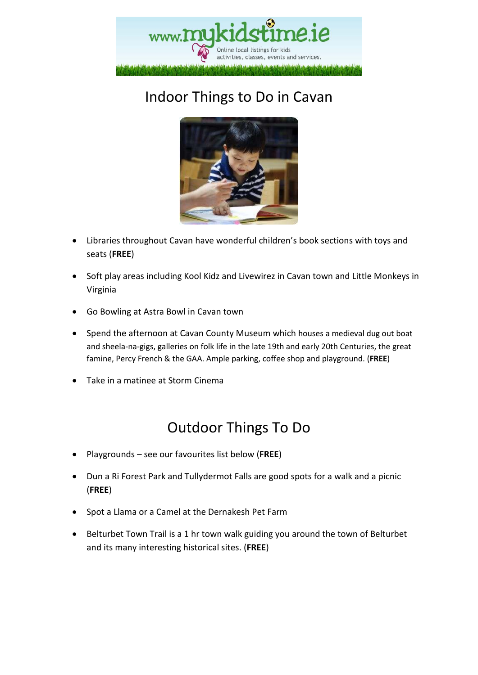

# Indoor Things to Do in Cavan



- Libraries throughout Cavan have wonderful children's book sections with toys and seats (**FREE**)
- Soft play areas including Kool Kidz and Livewirez in Cavan town and Little Monkeys in Virginia
- Go Bowling at Astra Bowl in Cavan town
- Spend the afternoon at Cavan County Museum which houses a medieval dug out boat and sheela-na-gigs, galleries on folk life in the late 19th and early 20th Centuries, the great famine, Percy French & the GAA. Ample parking, coffee shop and playground. (**FREE**)
- Take in a matinee at Storm Cinema

### Outdoor Things To Do

- Playgrounds see our favourites list below (**FREE**)
- Dun a Ri Forest Park and Tullydermot Falls are good spots for a walk and a picnic (**FREE**)
- Spot a Llama or a Camel at the Dernakesh Pet Farm
- Belturbet Town Trail is a 1 hr town walk guiding you around the town of Belturbet and its many interesting historical sites. (**FREE**)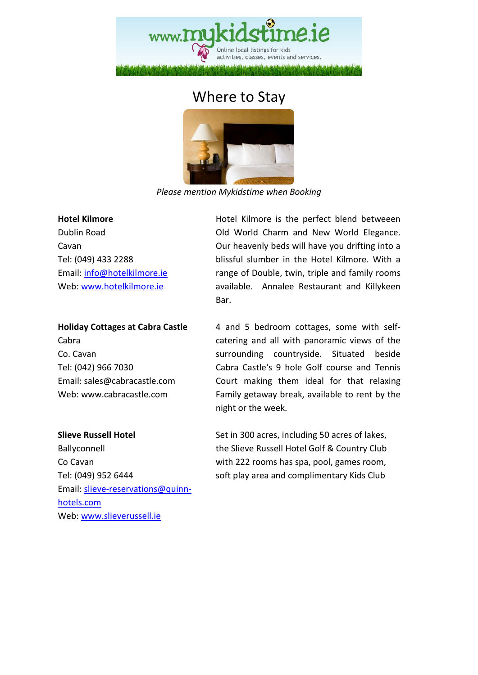

### Where to Stay



*Please mention Mykidstime when Booking* 

**Hotel Kilmore**  Dublin Road Cavan Tel: (049) 433 2288 Email: info@hotelkilmore.ie Web: www.hotelkilmore.ie

#### **Holiday Cottages at Cabra Castle**  Cabra Co. Cavan

Tel: (042) 966 7030 Email: sales@cabracastle.com Web: www.cabracastle.com

#### **Slieve Russell Hotel**

Ballyconnell Co Cavan Tel: (049) 952 6444 Email: slieve-reservations@quinnhotels.com Web: www.slieverussell.ie

Hotel Kilmore is the perfect blend betweeen Old World Charm and New World Elegance. Our heavenly beds will have you drifting into a blissful slumber in the Hotel Kilmore. With a range of Double, twin, triple and family rooms available. Annalee Restaurant and Killykeen Bar.

4 and 5 bedroom cottages, some with selfcatering and all with panoramic views of the surrounding countryside. Situated beside Cabra Castle's 9 hole Golf course and Tennis Court making them ideal for that relaxing Family getaway break, available to rent by the night or the week.

Set in 300 acres, including 50 acres of lakes, the Slieve Russell Hotel Golf & Country Club with 222 rooms has spa, pool, games room, soft play area and complimentary Kids Club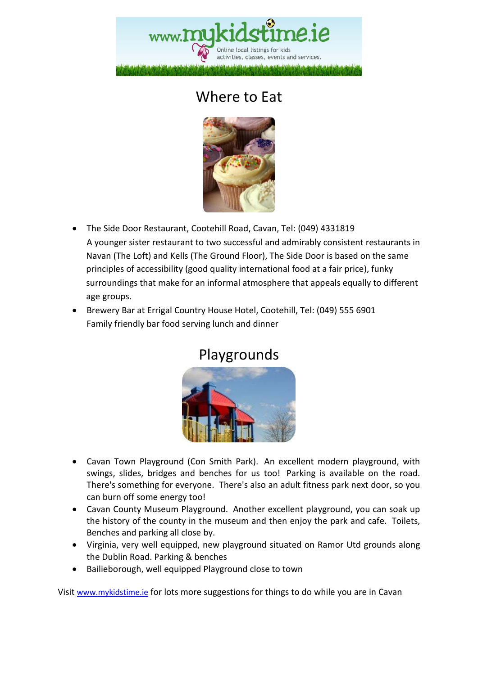# www.**M** Online local listings for kids activities, classes, events and services.

## Where to Eat



- The Side Door Restaurant, Cootehill Road, Cavan, Tel: (049) 4331819 A younger sister restaurant to two successful and admirably consistent restaurants in Navan (The Loft) and Kells (The Ground Floor), The Side Door is based on the same principles of accessibility (good quality international food at a fair price), funky surroundings that make for an informal atmosphere that appeals equally to different age groups.
- Brewery Bar at Errigal Country House Hotel, Cootehill, Tel: (049) 555 6901 Family friendly bar food serving lunch and dinner



### Playgrounds

- Cavan Town Playground (Con Smith Park). An excellent modern playground, with swings, slides, bridges and benches for us too! Parking is available on the road. There's something for everyone. There's also an adult fitness park next door, so you can burn off some energy too!
- Cavan County Museum Playground. Another excellent playground, you can soak up the history of the county in the museum and then enjoy the park and cafe. Toilets, Benches and parking all close by.
- Virginia, very well equipped, new playground situated on Ramor Utd grounds along the Dublin Road. Parking & benches
- Bailieborough, well equipped Playground close to town

Visit www.mykidstime.ie for lots more suggestions for things to do while you are in Cavan